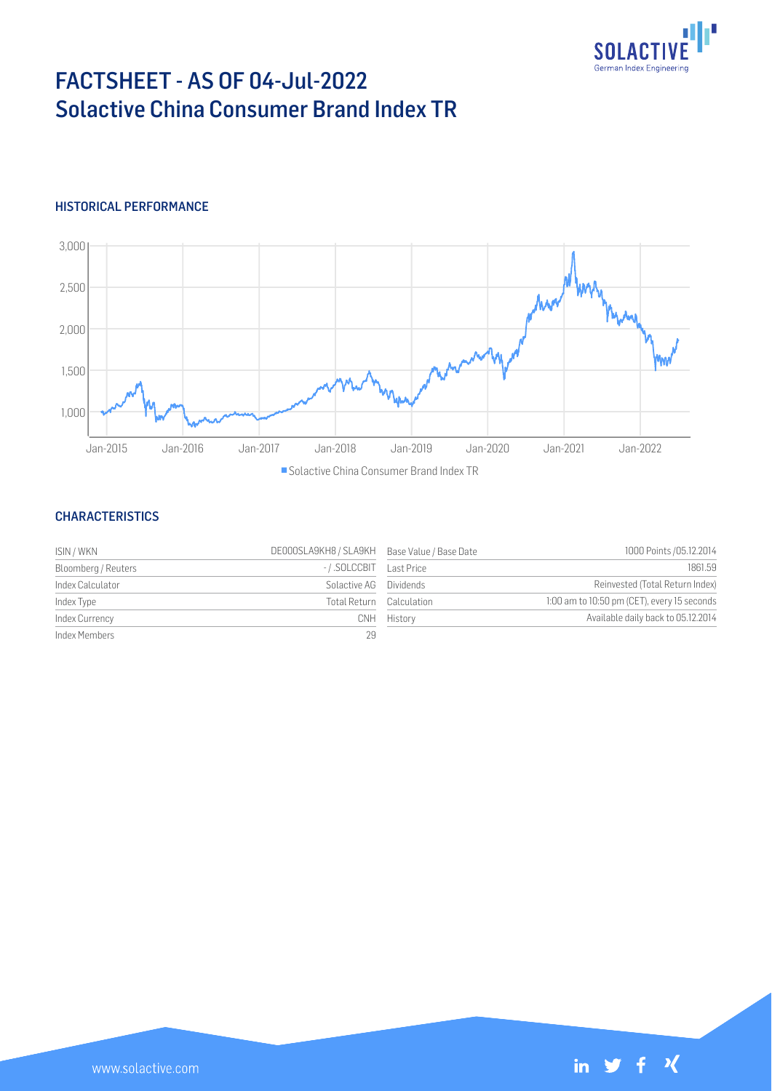

# FACTSHEET - AS OF 04-Jul-2022 Solactive China Consumer Brand Index TR

## HISTORICAL PERFORMANCE



### CHARACTERISTICS

| ISIN / WKN          | DE000SLA9KH8 / SLA9KH Base Value / Base Date |                  | 1000 Points / 05.12.2014                    |
|---------------------|----------------------------------------------|------------------|---------------------------------------------|
| Bloomberg / Reuters | -/.SOLCCBIT                                  | Last Price       | 1861.59                                     |
| Index Calculator    | Solactive AG                                 | <b>Dividends</b> | Reinvested (Total Return Index)             |
| Index Type          | Total Return Calculation                     |                  | 1:00 am to 10:50 pm (CET), every 15 seconds |
| Index Currency      | CNH.                                         | History          | Available daily back to 05.12.2014          |
| Index Members       | 29                                           |                  |                                             |

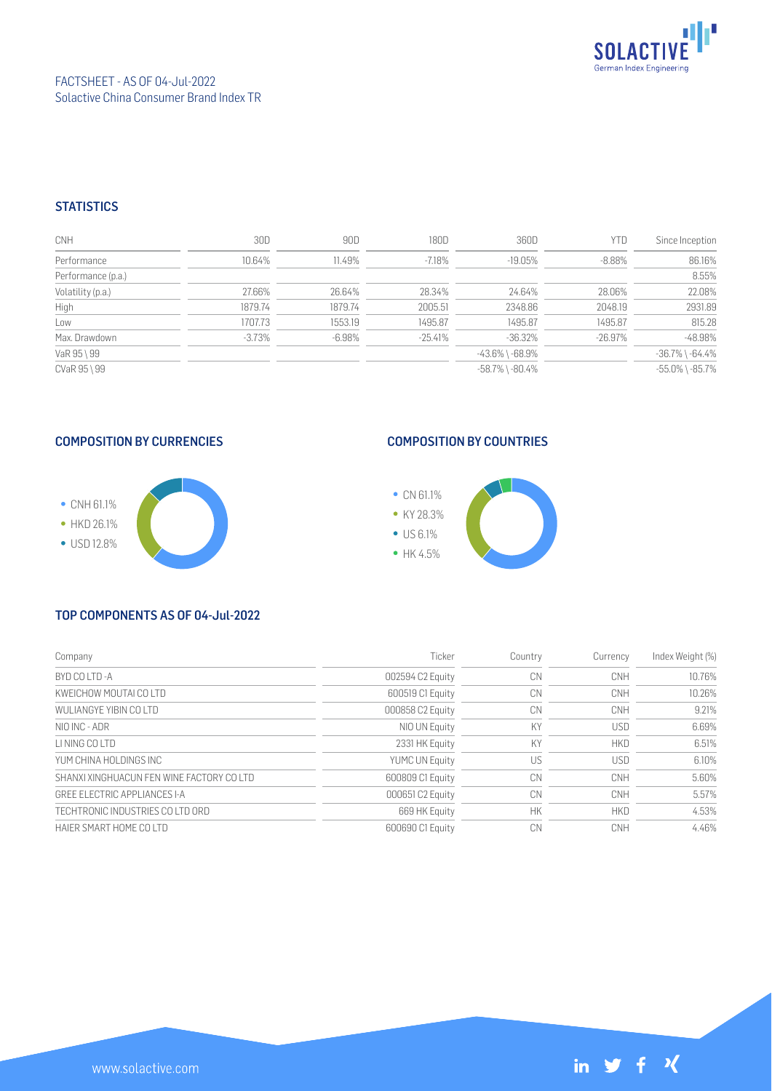

## **STATISTICS**

| <b>CNH</b>         | 30D       | 90D       | 180D      | 360D                  | YTD       | Since Inception       |
|--------------------|-----------|-----------|-----------|-----------------------|-----------|-----------------------|
| Performance        | 10.64%    | 11.49%    | $-7.18%$  | $-19.05\%$            | $-8.88\%$ | 86.16%                |
| Performance (p.a.) |           |           |           |                       |           | 8.55%                 |
| Volatility (p.a.)  | 27.66%    | 26.64%    | 28.34%    | 24.64%                | 28.06%    | 22.08%                |
| High               | 1879.74   | 1879.74   | 2005.51   | 2348.86               | 2048.19   | 2931.89               |
| Low                | 1707.73   | 1553.19   | 1495.87   | 1495.87               | 1495.87   | 815.28                |
| Max. Drawdown      | $-3.73\%$ | $-6.98\%$ | $-25.41%$ | $-36.32%$             | -26.97%   | $-48.98%$             |
| VaR 95 \ 99        |           |           |           | -43.6% \ -68.9%       |           | $-36.7\%$ \ $-64.4\%$ |
| CVaR 95 \ 99       |           |           |           | $-58.7\%$ \ $-80.4\%$ |           | $-55.0\%$ \ $-85.7\%$ |

# COMPOSITION BY CURRENCIES



# COMPOSITION BY COUNTRIES



#### TOP COMPONENTS AS OF 04-Jul-2022

| Company                                   | Ticker                | Country   | Currency   | Index Weight (%) |
|-------------------------------------------|-----------------------|-----------|------------|------------------|
| BYD CO LTD -A                             | 002594 C2 Equity      | CN        | CNH        | 10.76%           |
| KWEICHOW MOUTAI CO LTD                    | 600519 C1 Equity      | CN        | CNH        | 10.26%           |
| WULLANGYE YIBIN CO LTD                    | 000858 C2 Equity      | CN        | CNH        | 9.21%            |
| NIO INC - ADR                             | NIO UN Equity         | KY        | <b>USD</b> | 6.69%            |
| I I NING CO I TD                          | 2331 HK Equity        | KY        | <b>HKD</b> | 6.51%            |
| YUM CHINA HOL DINGS INC                   | <b>YUMC UN Equity</b> | US        | <b>USD</b> | 6.10%            |
| SHANXI XINGHUACUN FEN WINE FACTORY CO LTD | 600809 C1 Equity      | CN        | CNH        | 5.60%            |
| GREE ELECTRIC APPLIANCES I-A              | 000651 C2 Equity      | CN        | <b>CNH</b> | 5.57%            |
| TECHTRONIC INDUSTRIES CO LTD ORD          | 669 HK Equity         | <b>HK</b> | <b>HKD</b> | 4.53%            |
| HAIFR SMART HOME CO LTD                   | 600690 C1 Equity      | CN        | CNH        | 4.46%            |